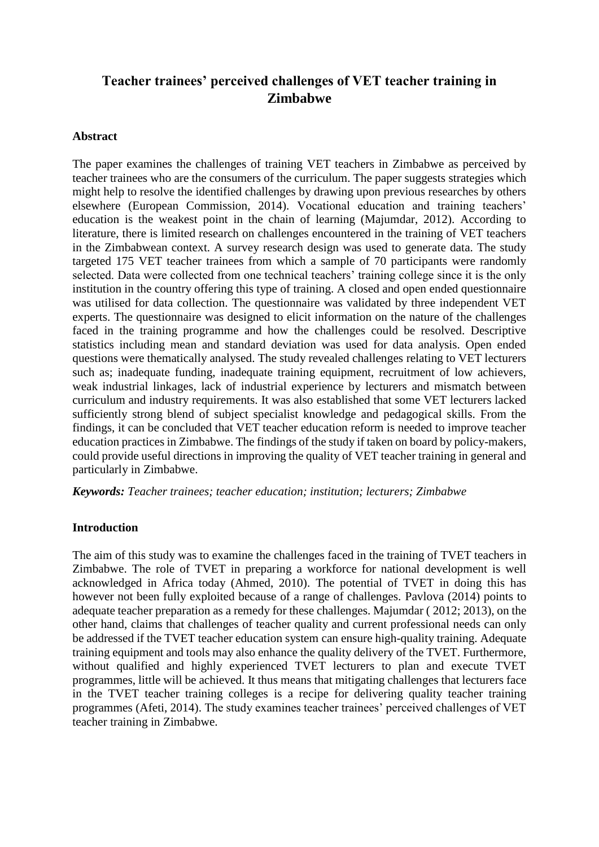# **Teacher trainees' perceived challenges of VET teacher training in Zimbabwe**

#### **Abstract**

The paper examines the challenges of training VET teachers in Zimbabwe as perceived by teacher trainees who are the consumers of the curriculum. The paper suggests strategies which might help to resolve the identified challenges by drawing upon previous researches by others elsewhere (European Commission, 2014). Vocational education and training teachers' education is the weakest point in the chain of learning (Majumdar, 2012). According to literature, there is limited research on challenges encountered in the training of VET teachers in the Zimbabwean context. A survey research design was used to generate data. The study targeted 175 VET teacher trainees from which a sample of 70 participants were randomly selected. Data were collected from one technical teachers' training college since it is the only institution in the country offering this type of training. A closed and open ended questionnaire was utilised for data collection. The questionnaire was validated by three independent VET experts. The questionnaire was designed to elicit information on the nature of the challenges faced in the training programme and how the challenges could be resolved. Descriptive statistics including mean and standard deviation was used for data analysis. Open ended questions were thematically analysed. The study revealed challenges relating to VET lecturers such as; inadequate funding, inadequate training equipment, recruitment of low achievers, weak industrial linkages, lack of industrial experience by lecturers and mismatch between curriculum and industry requirements. It was also established that some VET lecturers lacked sufficiently strong blend of subject specialist knowledge and pedagogical skills. From the findings, it can be concluded that VET teacher education reform is needed to improve teacher education practices in Zimbabwe. The findings of the study if taken on board by policy-makers, could provide useful directions in improving the quality of VET teacher training in general and particularly in Zimbabwe.

*Keywords: Teacher trainees; teacher education; institution; lecturers; Zimbabwe*

#### **Introduction**

The aim of this study was to examine the challenges faced in the training of TVET teachers in Zimbabwe. The role of TVET in preparing a workforce for national development is well acknowledged in Africa today (Ahmed, 2010). The potential of TVET in doing this has however not been fully exploited because of a range of challenges. Pavlova (2014) points to adequate teacher preparation as a remedy for these challenges. Majumdar ( 2012; 2013), on the other hand, claims that challenges of teacher quality and current professional needs can only be addressed if the TVET teacher education system can ensure high-quality training. Adequate training equipment and tools may also enhance the quality delivery of the TVET. Furthermore, without qualified and highly experienced TVET lecturers to plan and execute TVET programmes, little will be achieved. It thus means that mitigating challenges that lecturers face in the TVET teacher training colleges is a recipe for delivering quality teacher training programmes (Afeti, 2014). The study examines teacher trainees' perceived challenges of VET teacher training in Zimbabwe.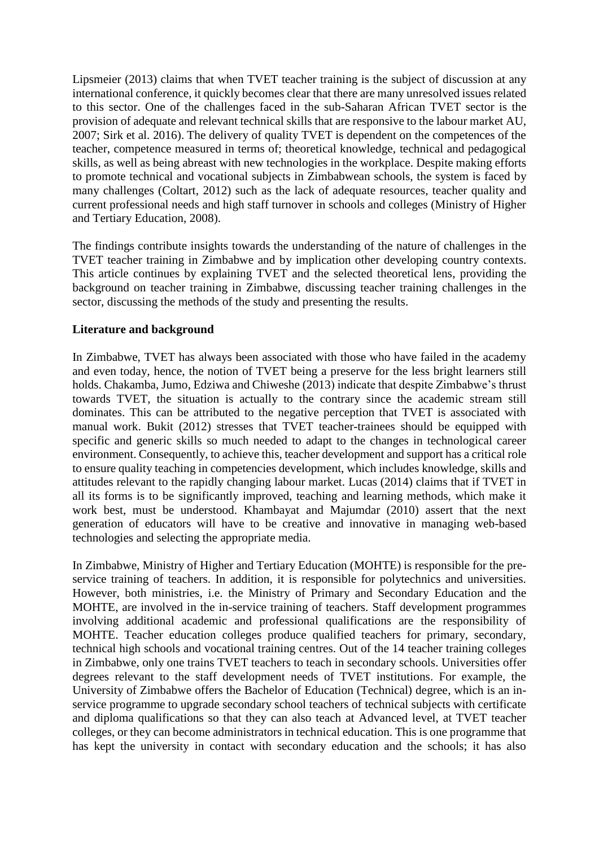Lipsmeier (2013) claims that when TVET teacher training is the subject of discussion at any international conference, it quickly becomes clear that there are many unresolved issues related to this sector. One of the challenges faced in the sub-Saharan African TVET sector is the provision of adequate and relevant technical skills that are responsive to the labour market AU, 2007; Sirk et al. 2016). The delivery of quality TVET is dependent on the competences of the teacher, competence measured in terms of; theoretical knowledge, technical and pedagogical skills, as well as being abreast with new technologies in the workplace. Despite making efforts to promote technical and vocational subjects in Zimbabwean schools, the system is faced by many challenges (Coltart, 2012) such as the lack of adequate resources, teacher quality and current professional needs and high staff turnover in schools and colleges (Ministry of Higher and Tertiary Education, 2008).

The findings contribute insights towards the understanding of the nature of challenges in the TVET teacher training in Zimbabwe and by implication other developing country contexts. This article continues by explaining TVET and the selected theoretical lens, providing the background on teacher training in Zimbabwe, discussing teacher training challenges in the sector, discussing the methods of the study and presenting the results.

#### **Literature and background**

In Zimbabwe, TVET has always been associated with those who have failed in the academy and even today, hence, the notion of TVET being a preserve for the less bright learners still holds. Chakamba, Jumo, Edziwa and Chiweshe (2013) indicate that despite Zimbabwe's thrust towards TVET, the situation is actually to the contrary since the academic stream still dominates. This can be attributed to the negative perception that TVET is associated with manual work. Bukit (2012) stresses that TVET teacher-trainees should be equipped with specific and generic skills so much needed to adapt to the changes in technological career environment. Consequently, to achieve this, teacher development and support has a critical role to ensure quality teaching in competencies development, which includes knowledge, skills and attitudes relevant to the rapidly changing labour market. Lucas (2014) claims that if TVET in all its forms is to be significantly improved, teaching and learning methods, which make it work best, must be understood. Khambayat and Majumdar (2010) assert that the next generation of educators will have to be creative and innovative in managing web-based technologies and selecting the appropriate media.

In Zimbabwe, Ministry of Higher and Tertiary Education (MOHTE) is responsible for the preservice training of teachers. In addition, it is responsible for polytechnics and universities. However, both ministries, i.e. the Ministry of Primary and Secondary Education and the MOHTE, are involved in the in-service training of teachers. Staff development programmes involving additional academic and professional qualifications are the responsibility of MOHTE. Teacher education colleges produce qualified teachers for primary, secondary, technical high schools and vocational training centres. Out of the 14 teacher training colleges in Zimbabwe, only one trains TVET teachers to teach in secondary schools. Universities offer degrees relevant to the staff development needs of TVET institutions. For example, the University of Zimbabwe offers the Bachelor of Education (Technical) degree, which is an inservice programme to upgrade secondary school teachers of technical subjects with certificate and diploma qualifications so that they can also teach at Advanced level, at TVET teacher colleges, or they can become administrators in technical education. This is one programme that has kept the university in contact with secondary education and the schools; it has also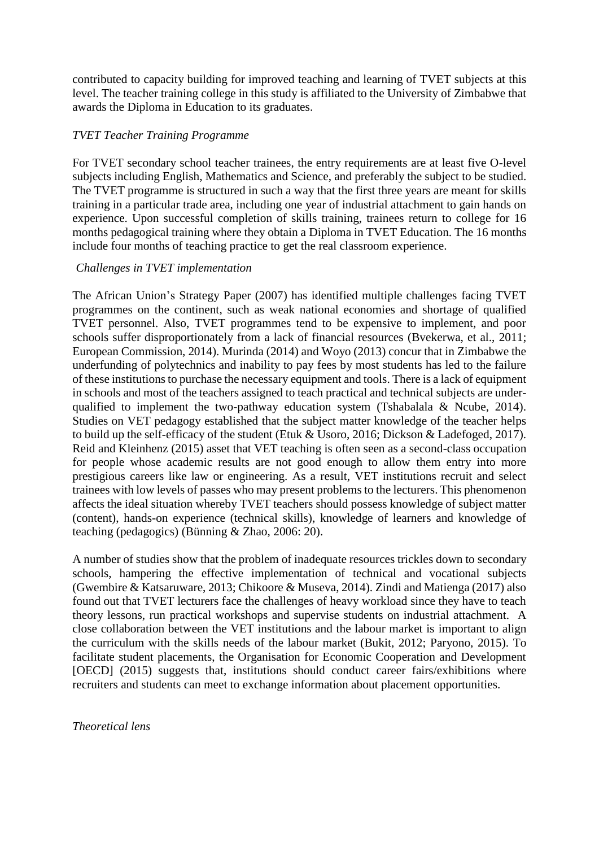contributed to capacity building for improved teaching and learning of TVET subjects at this level. The teacher training college in this study is affiliated to the University of Zimbabwe that awards the Diploma in Education to its graduates.

## *TVET Teacher Training Programme*

For TVET secondary school teacher trainees, the entry requirements are at least five O-level subjects including English, Mathematics and Science, and preferably the subject to be studied. The TVET programme is structured in such a way that the first three years are meant for skills training in a particular trade area, including one year of industrial attachment to gain hands on experience. Upon successful completion of skills training, trainees return to college for 16 months pedagogical training where they obtain a Diploma in TVET Education. The 16 months include four months of teaching practice to get the real classroom experience.

## *Challenges in TVET implementation*

The African Union's Strategy Paper (2007) has identified multiple challenges facing TVET programmes on the continent, such as weak national economies and shortage of qualified TVET personnel. Also, TVET programmes tend to be expensive to implement, and poor schools suffer disproportionately from a lack of financial resources (Bvekerwa, et al., 2011; European Commission, 2014). Murinda (2014) and Woyo (2013) concur that in Zimbabwe the underfunding of polytechnics and inability to pay fees by most students has led to the failure of these institutions to purchase the necessary equipment and tools. There is a lack of equipment in schools and most of the teachers assigned to teach practical and technical subjects are underqualified to implement the two-pathway education system (Tshabalala & Ncube, 2014). Studies on VET pedagogy established that the subject matter knowledge of the teacher helps to build up the self-efficacy of the student (Etuk & Usoro, 2016; Dickson & Ladefoged, 2017). Reid and Kleinhenz (2015) asset that VET teaching is often seen as a second-class occupation for people whose academic results are not good enough to allow them entry into more prestigious careers like law or engineering. As a result, VET institutions recruit and select trainees with low levels of passes who may present problems to the lecturers. This phenomenon affects the ideal situation whereby TVET teachers should possess knowledge of subject matter (content), hands-on experience (technical skills), knowledge of learners and knowledge of teaching (pedagogics) (Bünning & Zhao, 2006: 20).

A number of studies show that the problem of inadequate resources trickles down to secondary schools, hampering the effective implementation of technical and vocational subjects (Gwembire & Katsaruware, 2013; Chikoore & Museva, 2014). Zindi and Matienga (2017) also found out that TVET lecturers face the challenges of heavy workload since they have to teach theory lessons, run practical workshops and supervise students on industrial attachment. A close collaboration between the VET institutions and the labour market is important to align the curriculum with the skills needs of the labour market (Bukit, 2012; Paryono, 2015). To facilitate student placements, the Organisation for Economic Cooperation and Development [OECD] (2015) suggests that, institutions should conduct career fairs/exhibitions where recruiters and students can meet to exchange information about placement opportunities.

*Theoretical lens*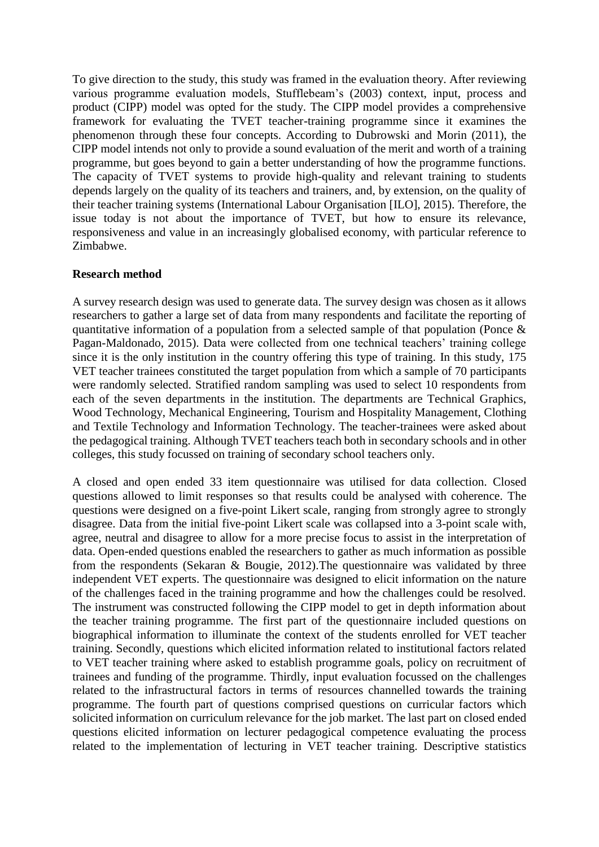To give direction to the study, this study was framed in the evaluation theory. After reviewing various programme evaluation models, Stufflebeam's (2003) context, input, process and product (CIPP) model was opted for the study. The CIPP model provides a comprehensive framework for evaluating the TVET teacher-training programme since it examines the phenomenon through these four concepts. According to Dubrowski and Morin (2011), the CIPP model intends not only to provide a sound evaluation of the merit and worth of a training programme, but goes beyond to gain a better understanding of how the programme functions. The capacity of TVET systems to provide high-quality and relevant training to students depends largely on the quality of its teachers and trainers, and, by extension, on the quality of their teacher training systems (International Labour Organisation [ILO], 2015). Therefore, the issue today is not about the importance of TVET, but how to ensure its relevance, responsiveness and value in an increasingly globalised economy, with particular reference to Zimbabwe.

#### **Research method**

A survey research design was used to generate data. The survey design was chosen as it allows researchers to gather a large set of data from many respondents and facilitate the reporting of quantitative information of a population from a selected sample of that population (Ponce & Pagan-Maldonado, 2015). Data were collected from one technical teachers' training college since it is the only institution in the country offering this type of training. In this study, 175 VET teacher trainees constituted the target population from which a sample of 70 participants were randomly selected. Stratified random sampling was used to select 10 respondents from each of the seven departments in the institution. The departments are Technical Graphics, Wood Technology, Mechanical Engineering, Tourism and Hospitality Management, Clothing and Textile Technology and Information Technology. The teacher-trainees were asked about the pedagogical training. Although TVET teachers teach both in secondary schools and in other colleges, this study focussed on training of secondary school teachers only.

A closed and open ended 33 item questionnaire was utilised for data collection. Closed questions allowed to limit responses so that results could be analysed with coherence. The questions were designed on a five-point Likert scale, ranging from strongly agree to strongly disagree. Data from the initial five-point Likert scale was collapsed into a 3-point scale with, agree, neutral and disagree to allow for a more precise focus to assist in the interpretation of data. Open-ended questions enabled the researchers to gather as much information as possible from the respondents (Sekaran & Bougie, 2012).The questionnaire was validated by three independent VET experts. The questionnaire was designed to elicit information on the nature of the challenges faced in the training programme and how the challenges could be resolved. The instrument was constructed following the CIPP model to get in depth information about the teacher training programme. The first part of the questionnaire included questions on biographical information to illuminate the context of the students enrolled for VET teacher training. Secondly, questions which elicited information related to institutional factors related to VET teacher training where asked to establish programme goals, policy on recruitment of trainees and funding of the programme. Thirdly, input evaluation focussed on the challenges related to the infrastructural factors in terms of resources channelled towards the training programme. The fourth part of questions comprised questions on curricular factors which solicited information on curriculum relevance for the job market. The last part on closed ended questions elicited information on lecturer pedagogical competence evaluating the process related to the implementation of lecturing in VET teacher training. Descriptive statistics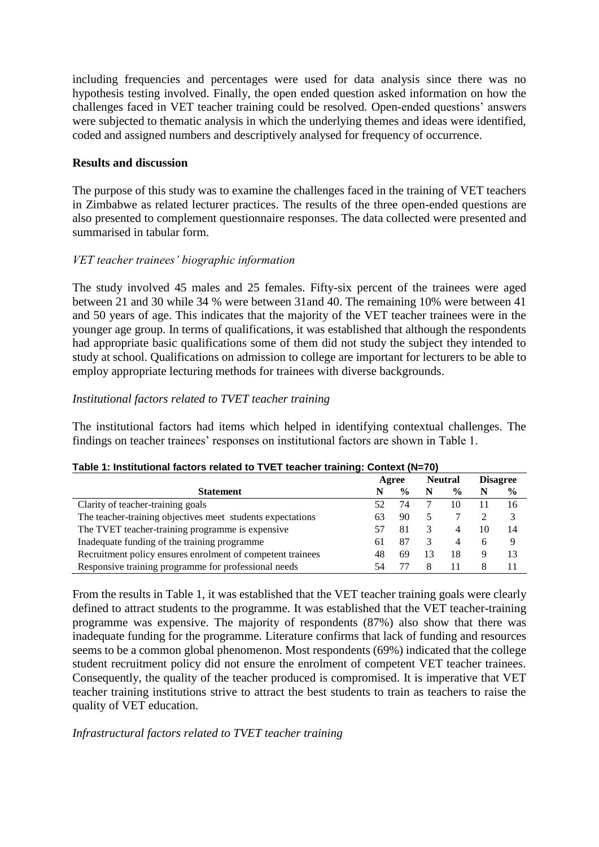including frequencies and percentages were used for data analysis since there was no hypothesis testing involved. Finally, the open ended question asked information on how the challenges faced in VET teacher training could be resolved. Open-ended questions' answers were subjected to thematic analysis in which the underlying themes and ideas were identified, coded and assigned numbers and descriptively analysed for frequency of occurrence.

# **Results and discussion**

The purpose of this study was to examine the challenges faced in the training of VET teachers in Zimbabwe as related lecturer practices. The results of the three open-ended questions are also presented to complement questionnaire responses. The data collected were presented and summarised in tabular form.

## *VET teacher trainees' biographic information*

The study involved 45 males and 25 females. Fifty-six percent of the trainees were aged between 21 and 30 while 34 % were between 31and 40. The remaining 10% were between 41 and 50 years of age. This indicates that the majority of the VET teacher trainees were in the younger age group. In terms of qualifications, it was established that although the respondents had appropriate basic qualifications some of them did not study the subject they intended to study at school. Qualifications on admission to college are important for lecturers to be able to employ appropriate lecturing methods for trainees with diverse backgrounds.

## *Institutional factors related to TVET teacher training*

The institutional factors had items which helped in identifying contextual challenges. The findings on teacher trainees' responses on institutional factors are shown in Table 1.

|                                                            | Agree |               | <b>Neutral</b> |               |    | <b>Disagree</b> |
|------------------------------------------------------------|-------|---------------|----------------|---------------|----|-----------------|
| <b>Statement</b>                                           | N     | $\frac{0}{0}$ | N              | $\frac{6}{9}$ |    | $\frac{6}{6}$   |
| Clarity of teacher-training goals                          |       | 74            |                | 10            |    | 16              |
| The teacher-training objectives meet students expectations | 63    | 90            |                |               |    |                 |
| The TVET teacher-training programme is expensive           |       | 81            |                | 4             | 10 | 14              |
| Inadequate funding of the training programme               | 61    | 87            |                | 4             | 6  | 9               |
| Recruitment policy ensures enrolment of competent trainees | 48    | 69            | 3              | 18            | 9  | 13              |
| Responsive training programme for professional needs       | -54   |               |                |               |    |                 |

#### **Table 1: Institutional factors related to TVET teacher training: Context (N=70)**

From the results in Table 1, it was established that the VET teacher training goals were clearly defined to attract students to the programme. It was established that the VET teacher-training programme was expensive. The majority of respondents (87%) also show that there was inadequate funding for the programme. Literature confirms that lack of funding and resources seems to be a common global phenomenon. Most respondents (69%) indicated that the college student recruitment policy did not ensure the enrolment of competent VET teacher trainees. Consequently, the quality of the teacher produced is compromised. It is imperative that VET teacher training institutions strive to attract the best students to train as teachers to raise the quality of VET education.

# *Infrastructural factors related to TVET teacher training*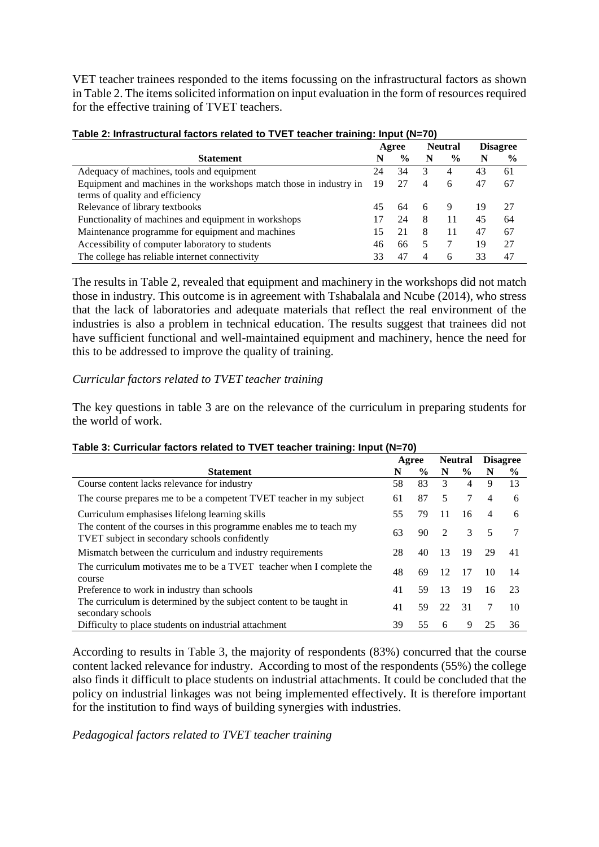VET teacher trainees responded to the items focussing on the infrastructural factors as shown in Table 2. The items solicited information on input evaluation in the form of resources required for the effective training of TVET teachers.

|                                                                    | Agree |               | <b>Neutral</b> |               |    | <b>Disagree</b> |
|--------------------------------------------------------------------|-------|---------------|----------------|---------------|----|-----------------|
| <b>Statement</b>                                                   | N     | $\frac{6}{9}$ | N              | $\frac{6}{9}$ | N  | $\%$            |
| Adequacy of machines, tools and equipment                          | 24    | 34            | 3              | 4             | 43 | 61              |
| Equipment and machines in the workshops match those in industry in | -19   | 27            | 4              | 6             | 47 | 67              |
| terms of quality and efficiency                                    |       |               |                |               |    |                 |
| Relevance of library textbooks                                     | 45    | 64            | 6              | 9             | 19 | 27              |
| Functionality of machines and equipment in workshops               | 17    | 24            | 8              | 11            | 45 | 64              |
| Maintenance programme for equipment and machines                   | 15    | 21            | 8              | 11            | 47 | 67              |
| Accessibility of computer laboratory to students                   | 46    | 66            | 5              |               | 19 | 27              |
| The college has reliable internet connectivity                     | 33    | 47            | 4              | 6             | 33 | 47              |

| Table 2: Infrastructural factors related to TVET teacher training: Input (N=70) |  |  |
|---------------------------------------------------------------------------------|--|--|
|                                                                                 |  |  |

The results in Table 2, revealed that equipment and machinery in the workshops did not match those in industry. This outcome is in agreement with Tshabalala and Ncube (2014), who stress that the lack of laboratories and adequate materials that reflect the real environment of the industries is also a problem in technical education. The results suggest that trainees did not have sufficient functional and well-maintained equipment and machinery, hence the need for this to be addressed to improve the quality of training.

## *Curricular factors related to TVET teacher training*

The key questions in table 3 are on the relevance of the curriculum in preparing students for the world of work.

| $1$ able 3. Curricular factors related to TVLT teacher training. Imput (IV–70)                                       |       |      |                |               |                 |               |  |  |
|----------------------------------------------------------------------------------------------------------------------|-------|------|----------------|---------------|-----------------|---------------|--|--|
|                                                                                                                      | Agree |      | <b>Neutral</b> |               | <b>Disagree</b> |               |  |  |
| <b>Statement</b>                                                                                                     | N     | $\%$ | N              | $\frac{0}{0}$ | N               | $\frac{6}{9}$ |  |  |
| Course content lacks relevance for industry                                                                          | 58    | 83   | 3              | 4             | 9               | 13            |  |  |
| The course prepares me to be a competent TVET teacher in my subject                                                  | 61    | 87   | 5              | 7             | 4               | 6             |  |  |
| Curriculum emphasises lifelong learning skills                                                                       | 55    | 79   | 11             | 16            | 4               | 6             |  |  |
| The content of the courses in this programme enables me to teach my<br>TVET subject in secondary schools confidently | 63    | 90   | $\mathcal{D}$  | 3             | 5               |               |  |  |
| Mismatch between the curriculum and industry requirements                                                            | 28    | 40   | 13             | 19            | 29              | 41            |  |  |
| The curriculum motivates me to be a TVET teacher when I complete the<br>course                                       | 48    | 69   | 12             | 17            | 10              | 14            |  |  |
| Preference to work in industry than schools                                                                          | 41    | 59   | 13             | 19            | 16              | 23            |  |  |
| The curriculum is determined by the subject content to be taught in<br>secondary schools                             | 41    | 59   | 22             | 31            | 7               | 10            |  |  |
| Difficulty to place students on industrial attachment                                                                | 39    | 55   | 6              | 9             | 25              | 36            |  |  |

# **Table 3: Curricular factors related to TVET teacher training: Input (N=70)**

According to results in Table 3, the majority of respondents (83%) concurred that the course content lacked relevance for industry. According to most of the respondents (55%) the college also finds it difficult to place students on industrial attachments. It could be concluded that the policy on industrial linkages was not being implemented effectively. It is therefore important for the institution to find ways of building synergies with industries.

*Pedagogical factors related to TVET teacher training*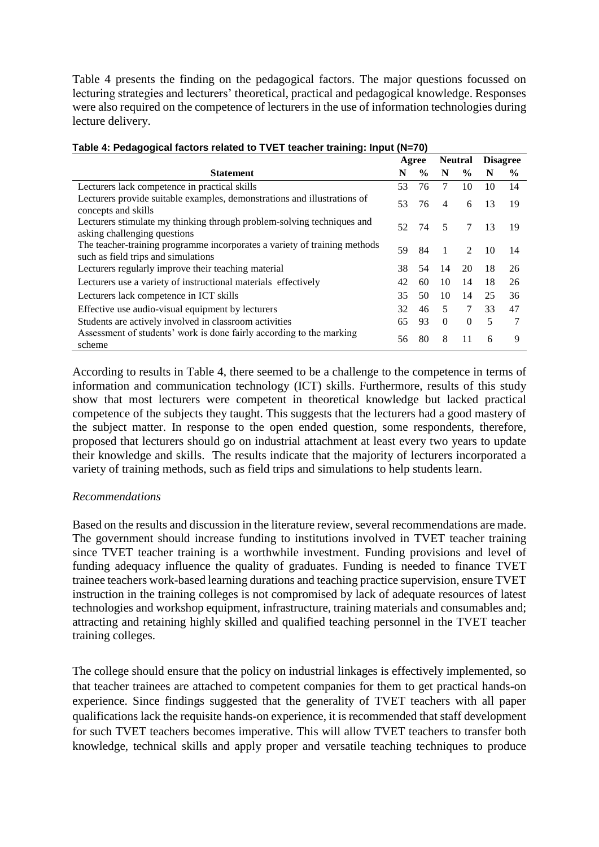Table 4 presents the finding on the pedagogical factors. The major questions focussed on lecturing strategies and lecturers' theoretical, practical and pedagogical knowledge. Responses were also required on the competence of lecturers in the use of information technologies during lecture delivery.

|                                                                                                                  | Agree |               | <b>Neutral</b> |                | <b>Disagree</b> |      |
|------------------------------------------------------------------------------------------------------------------|-------|---------------|----------------|----------------|-----------------|------|
| <b>Statement</b>                                                                                                 | N     | $\frac{6}{9}$ | N              | $\frac{6}{9}$  | N               | $\%$ |
| Lecturers lack competence in practical skills                                                                    | 53    | 76            | 7              | 10             | 10              | 14   |
| Lecturers provide suitable examples, demonstrations and illustrations of<br>concepts and skills                  | 53    | 76            | 4              | 6              | 13              | 19   |
| Lecturers stimulate my thinking through problem-solving techniques and<br>asking challenging questions           | 52    | 74            | 5              | 7              | 13              | 19   |
| The teacher-training programme incorporates a variety of training methods<br>such as field trips and simulations | 59    | 84            | 1              | $\mathfrak{D}$ | 10              | 14   |
| Lecturers regularly improve their teaching material                                                              | 38.   | 54            | 14             | 20             | 18              | 26   |
| Lecturers use a variety of instructional materials effectively                                                   | 42    | 60            | 10             | 14             | 18              | 26   |
| Lecturers lack competence in ICT skills                                                                          | 35    | 50            | 10             | 14             | 25              | 36   |
| Effective use audio-visual equipment by lecturers                                                                | 32    | 46            | 5              | 7              | 33              | 47   |
| Students are actively involved in classroom activities                                                           | 65    | 93            | $\Omega$       | $\Omega$       | 5               |      |
| Assessment of students' work is done fairly according to the marking<br>scheme                                   | 56    | 80            | 8              | 11             | 6               | 9    |

#### **Table 4: Pedagogical factors related to TVET teacher training: Input (N=70)**

According to results in Table 4, there seemed to be a challenge to the competence in terms of information and communication technology (ICT) skills. Furthermore, results of this study show that most lecturers were competent in theoretical knowledge but lacked practical competence of the subjects they taught. This suggests that the lecturers had a good mastery of the subject matter. In response to the open ended question, some respondents, therefore, proposed that lecturers should go on industrial attachment at least every two years to update their knowledge and skills. The results indicate that the majority of lecturers incorporated a variety of training methods, such as field trips and simulations to help students learn.

# *Recommendations*

Based on the results and discussion in the literature review, several recommendations are made. The government should increase funding to institutions involved in TVET teacher training since TVET teacher training is a worthwhile investment. Funding provisions and level of funding adequacy influence the quality of graduates. Funding is needed to finance TVET trainee teachers work-based learning durations and teaching practice supervision, ensure TVET instruction in the training colleges is not compromised by lack of adequate resources of latest technologies and workshop equipment, infrastructure, training materials and consumables and; attracting and retaining highly skilled and qualified teaching personnel in the TVET teacher training colleges.

The college should ensure that the policy on industrial linkages is effectively implemented, so that teacher trainees are attached to competent companies for them to get practical hands-on experience. Since findings suggested that the generality of TVET teachers with all paper qualifications lack the requisite hands-on experience, it is recommended that staff development for such TVET teachers becomes imperative. This will allow TVET teachers to transfer both knowledge, technical skills and apply proper and versatile teaching techniques to produce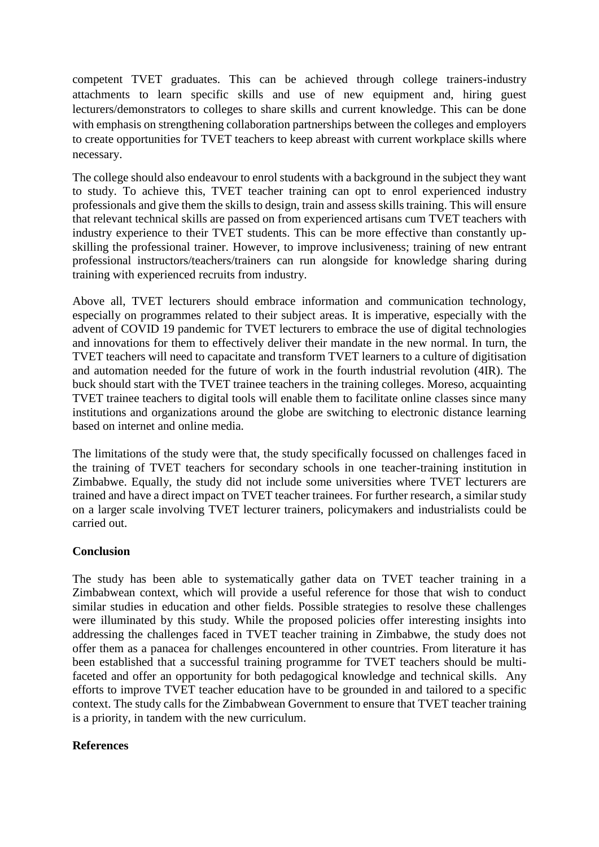competent TVET graduates. This can be achieved through college trainers-industry attachments to learn specific skills and use of new equipment and, hiring guest lecturers/demonstrators to colleges to share skills and current knowledge. This can be done with emphasis on strengthening collaboration partnerships between the colleges and employers to create opportunities for TVET teachers to keep abreast with current workplace skills where necessary.

The college should also endeavour to enrol students with a background in the subject they want to study. To achieve this, TVET teacher training can opt to enrol experienced industry professionals and give them the skills to design, train and assess skills training. This will ensure that relevant technical skills are passed on from experienced artisans cum TVET teachers with industry experience to their TVET students. This can be more effective than constantly upskilling the professional trainer. However, to improve inclusiveness; training of new entrant professional instructors/teachers/trainers can run alongside for knowledge sharing during training with experienced recruits from industry.

Above all, TVET lecturers should embrace information and communication technology, especially on programmes related to their subject areas. It is imperative, especially with the advent of COVID 19 pandemic for TVET lecturers to embrace the use of digital technologies and innovations for them to effectively deliver their mandate in the new normal. In turn, the TVET teachers will need to capacitate and transform TVET learners to a culture of digitisation and automation needed for the future of work in the fourth industrial revolution (4IR). The buck should start with the TVET trainee teachers in the training colleges. Moreso, acquainting TVET trainee teachers to digital tools will enable them to facilitate online classes since many institutions and organizations around the globe are switching to electronic distance learning based on internet and online media.

The limitations of the study were that, the study specifically focussed on challenges faced in the training of TVET teachers for secondary schools in one teacher-training institution in Zimbabwe. Equally, the study did not include some universities where TVET lecturers are trained and have a direct impact on TVET teacher trainees. For further research, a similar study on a larger scale involving TVET lecturer trainers, policymakers and industrialists could be carried out.

#### **Conclusion**

The study has been able to systematically gather data on TVET teacher training in a Zimbabwean context, which will provide a useful reference for those that wish to conduct similar studies in education and other fields. Possible strategies to resolve these challenges were illuminated by this study. While the proposed policies offer interesting insights into addressing the challenges faced in TVET teacher training in Zimbabwe, the study does not offer them as a panacea for challenges encountered in other countries. From literature it has been established that a successful training programme for TVET teachers should be multifaceted and offer an opportunity for both pedagogical knowledge and technical skills. Any efforts to improve TVET teacher education have to be grounded in and tailored to a specific context. The study calls for the Zimbabwean Government to ensure that TVET teacher training is a priority, in tandem with the new curriculum.

#### **References**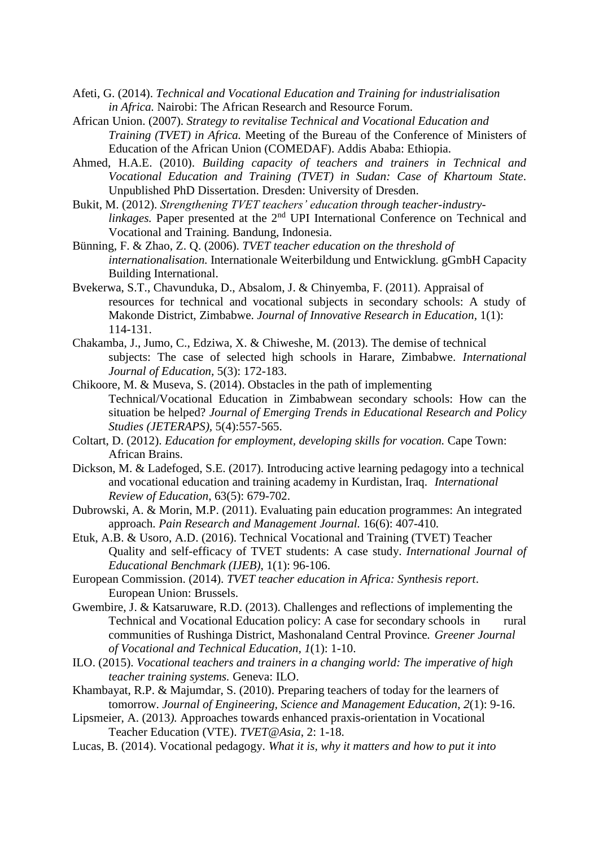- Afeti, G. (2014). *Technical and Vocational Education and Training for industrialisation in Africa.* Nairobi: The African Research and Resource Forum.
- African Union. (2007). *Strategy to revitalise Technical and Vocational Education and Training (TVET) in Africa.* Meeting of the Bureau of the Conference of Ministers of Education of the African Union (COMEDAF). Addis Ababa: Ethiopia.
- Ahmed, H.A.E. (2010). *Building capacity of teachers and trainers in Technical and Vocational Education and Training (TVET) in Sudan: Case of Khartoum State*. Unpublished PhD Dissertation. Dresden: University of Dresden.
- Bukit, M. (2012). *Strengthening TVET teachers' education through teacher-industrylinkages*. Paper presented at the 2<sup>nd</sup> UPI International Conference on Technical and Vocational and Training. Bandung, Indonesia.
- Bünning, F. & Zhao, Z. Q. (2006). *TVET teacher education on the threshold of internationalisation.* Internationale Weiterbildung und Entwicklung. gGmbH Capacity Building International.
- Bvekerwa, S.T., Chavunduka, D., Absalom, J. & Chinyemba, F. (2011). Appraisal of resources for technical and vocational subjects in secondary schools: A study of Makonde District, Zimbabwe. *Journal of Innovative Research in Education,* 1(1): 114-131.
- Chakamba, J., Jumo, C., Edziwa, X. & Chiweshe, M. (2013). The demise of technical subjects: The case of selected high schools in Harare, Zimbabwe. *International Journal of Education,* 5(3): 172-183.
- Chikoore, M. & Museva, S. (2014). Obstacles in the path of implementing Technical/Vocational Education in Zimbabwean secondary schools: How can the situation be helped? *Journal of Emerging Trends in Educational Research and Policy Studies (JETERAPS),* 5(4):557-565.
- Coltart, D. (2012). *Education for employment, developing skills for vocation.* Cape Town: African Brains.
- Dickson, M. & Ladefoged, S.E. (2017). Introducing active learning pedagogy into a technical and vocational education and training academy in Kurdistan, Iraq. *International Review of Education*, 63(5): 679-702.
- Dubrowski, A. & Morin, M.P. (2011). Evaluating pain education programmes: An integrated approach. *Pain Research and Management Journal.* 16(6): 407-410*.*
- Etuk, A.B. & Usoro, A.D. (2016). Technical Vocational and Training (TVET) Teacher Quality and self-efficacy of TVET students: A case study. *International Journal of Educational Benchmark (IJEB)*, 1(1): 96-106.
- European Commission. (2014). *TVET teacher education in Africa: Synthesis report*. European Union: Brussels.
- Gwembire, J. & Katsaruware, R.D. (2013). Challenges and reflections of implementing the Technical and Vocational Education policy: A case for secondary schools in rural communities of Rushinga District, Mashonaland Central Province*. Greener Journal of Vocational and Technical Education, 1*(1): 1-10.
- ILO. (2015). *Vocational teachers and trainers in a changing world: The imperative of high teacher training systems.* Geneva: ILO.
- Khambayat, R.P. & Majumdar, S. (2010). Preparing teachers of today for the learners of tomorrow. *Journal of Engineering, Science and Management Education*, *2*(1): 9-16.
- Lipsmeier, A. (2013*).* Approaches towards enhanced praxis-orientation in Vocational Teacher Education (VTE). *TVET@Asia*, 2: 1-18.
- Lucas, B. (2014). Vocational pedagogy. *What it is, why it matters and how to put it into*